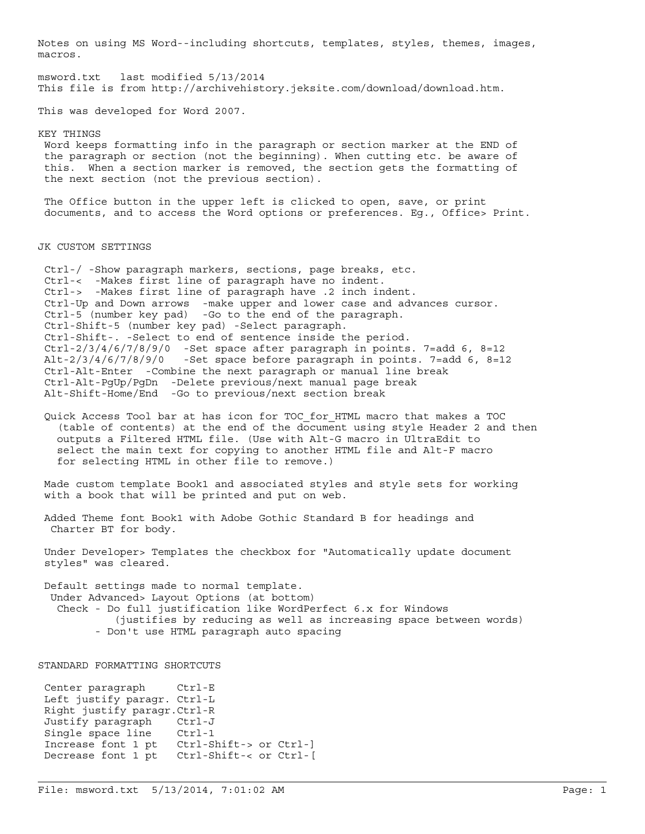Notes on using MS Word--including shortcuts, templates, styles, themes, images, macros.

msword.txt last modified 5/13/2014 This file is from http://archivehistory.jeksite.com/download/download.htm.

This was developed for Word 2007.

#### KEY THINGS

 Word keeps formatting info in the paragraph or section marker at the END of the paragraph or section (not the beginning). When cutting etc. be aware of this. When a section marker is removed, the section gets the formatting of the next section (not the previous section).

 The Office button in the upper left is clicked to open, save, or print documents, and to access the Word options or preferences. Eg., Office> Print.

#### JK CUSTOM SETTINGS

 Ctrl-/ -Show paragraph markers, sections, page breaks, etc. Ctrl-< -Makes first line of paragraph have no indent. Ctrl-> -Makes first line of paragraph have .2 inch indent. Ctrl-Up and Down arrows -make upper and lower case and advances cursor. Ctrl-5 (number key pad) -Go to the end of the paragraph. Ctrl-Shift-5 (number key pad) -Select paragraph. Ctrl-Shift-. -Select to end of sentence inside the period. Ctrl-2/3/4/6/7/8/9/0 -Set space after paragraph in points. 7=add 6, 8=12 Alt-2/3/4/6/7/8/9/0 -Set space before paragraph in points. 7=add 6, 8=12 Ctrl-Alt-Enter -Combine the next paragraph or manual line break Ctrl-Alt-PgUp/PgDn -Delete previous/next manual page break Alt-Shift-Home/End -Go to previous/next section break

Quick Access Tool bar at has icon for TOC for HTML macro that makes a TOC (table of contents) at the end of the document using style Header 2 and then outputs a Filtered HTML file. (Use with Alt-G macro in UltraEdit to select the main text for copying to another HTML file and Alt-F macro for selecting HTML in other file to remove.)

 Made custom template Book1 and associated styles and style sets for working with a book that will be printed and put on web.

 Added Theme font Book1 with Adobe Gothic Standard B for headings and Charter BT for body.

 Under Developer> Templates the checkbox for "Automatically update document styles" was cleared.

 Default settings made to normal template. Under Advanced> Layout Options (at bottom) Check - Do full justification like WordPerfect 6.x for Windows (justifies by reducing as well as increasing space between words) - Don't use HTML paragraph auto spacing

STANDARD FORMATTING SHORTCUTS

 Center paragraph Ctrl-E Left justify paragr. Ctrl-L Right justify paragr.Ctrl-R Justify paragraph Ctrl-J Single space line Ctrl-1 Increase font 1 pt Ctrl-Shift-> or Ctrl-] Decrease font 1 pt Ctrl-Shift-< or Ctrl-[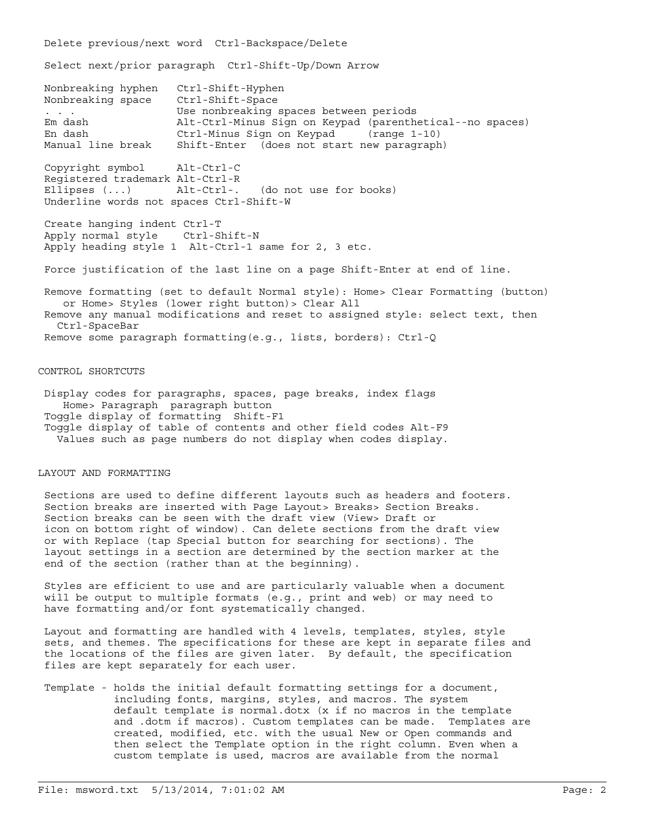Delete previous/next word Ctrl-Backspace/Delete Select next/prior paragraph Ctrl-Shift-Up/Down Arrow Nonbreaking hyphen Ctrl-Shift-Hyphen Nonbreaking space Ctrl-Shift-Space . . . Use nonbreaking spaces between periods Em dash Alt-Ctrl-Minus Sign on Keypad (parenthetical--no spaces) En dash (Ctrl-Minus Sign on Keypad<br>Manual line break (Shift-Enter (does not sta Shift-Enter (does not start new paragraph) Copyright symbol Alt-Ctrl-C Registered trademark Alt-Ctrl-R Ellipses (...) Alt-Ctrl-. (do not use for books) Underline words not spaces Ctrl-Shift-W Create hanging indent Ctrl-T Apply normal style Ctrl-Shift-N Apply heading style 1 Alt-Ctrl-1 same for 2, 3 etc. Force justification of the last line on a page Shift-Enter at end of line. Remove formatting (set to default Normal style): Home> Clear Formatting (button) or Home> Styles (lower right button)> Clear All Remove any manual modifications and reset to assigned style: select text, then Ctrl-SpaceBar Remove some paragraph formatting(e.g., lists, borders): Ctrl-Q

CONTROL SHORTCUTS

 Display codes for paragraphs, spaces, page breaks, index flags Home> Paragraph paragraph button Toggle display of formatting Shift-F1 Toggle display of table of contents and other field codes Alt-F9 Values such as page numbers do not display when codes display.

# LAYOUT AND FORMATTING

 Sections are used to define different layouts such as headers and footers. Section breaks are inserted with Page Layout> Breaks> Section Breaks. Section breaks can be seen with the draft view (View> Draft or icon on bottom right of window). Can delete sections from the draft view or with Replace (tap Special button for searching for sections). The layout settings in a section are determined by the section marker at the end of the section (rather than at the beginning).

 Styles are efficient to use and are particularly valuable when a document will be output to multiple formats (e.g., print and web) or may need to have formatting and/or font systematically changed.

 Layout and formatting are handled with 4 levels, templates, styles, style sets, and themes. The specifications for these are kept in separate files and the locations of the files are given later. By default, the specification files are kept separately for each user.

 Template - holds the initial default formatting settings for a document, including fonts, margins, styles, and macros. The system default template is normal.dotx (x if no macros in the template and .dotm if macros). Custom templates can be made. Templates are created, modified, etc. with the usual New or Open commands and then select the Template option in the right column. Even when a custom template is used, macros are available from the normal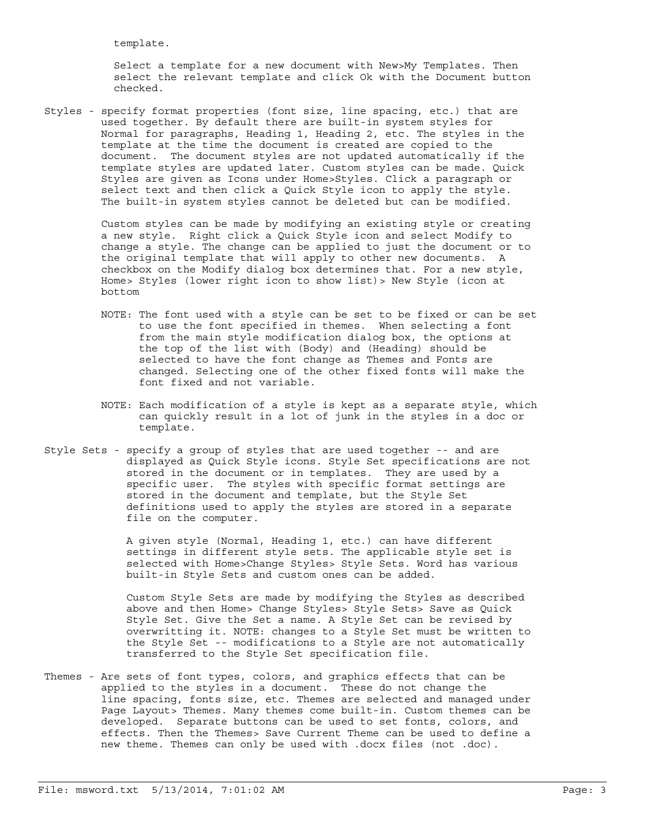template.

 Select a template for a new document with New>My Templates. Then select the relevant template and click Ok with the Document button checked.

 Styles - specify format properties (font size, line spacing, etc.) that are used together. By default there are built-in system styles for Normal for paragraphs, Heading 1, Heading 2, etc. The styles in the template at the time the document is created are copied to the document. The document styles are not updated automatically if the template styles are updated later. Custom styles can be made. Quick Styles are given as Icons under Home>Styles. Click a paragraph or select text and then click a Quick Style icon to apply the style. The built-in system styles cannot be deleted but can be modified.

> Custom styles can be made by modifying an existing style or creating a new style. Right click a Quick Style icon and select Modify to change a style. The change can be applied to just the document or to the original template that will apply to other new documents. A checkbox on the Modify dialog box determines that. For a new style, Home> Styles (lower right icon to show list)> New Style (icon at bottom

- NOTE: The font used with a style can be set to be fixed or can be set to use the font specified in themes. When selecting a font from the main style modification dialog box, the options at the top of the list with (Body) and (Heading) should be selected to have the font change as Themes and Fonts are changed. Selecting one of the other fixed fonts will make the font fixed and not variable.
- NOTE: Each modification of a style is kept as a separate style, which can quickly result in a lot of junk in the styles in a doc or template.
- Style Sets specify a group of styles that are used together -- and are displayed as Quick Style icons. Style Set specifications are not stored in the document or in templates. They are used by a specific user. The styles with specific format settings are stored in the document and template, but the Style Set definitions used to apply the styles are stored in a separate file on the computer.

 A given style (Normal, Heading 1, etc.) can have different settings in different style sets. The applicable style set is selected with Home>Change Styles> Style Sets. Word has various built-in Style Sets and custom ones can be added.

 Custom Style Sets are made by modifying the Styles as described above and then Home> Change Styles> Style Sets> Save as Quick Style Set. Give the Set a name. A Style Set can be revised by overwritting it. NOTE: changes to a Style Set must be written to the Style Set -- modifications to a Style are not automatically transferred to the Style Set specification file.

 Themes - Are sets of font types, colors, and graphics effects that can be applied to the styles in a document. These do not change the line spacing, fonts size, etc. Themes are selected and managed under Page Layout> Themes. Many themes come built-in. Custom themes can be developed. Separate buttons can be used to set fonts, colors, and effects. Then the Themes> Save Current Theme can be used to define a new theme. Themes can only be used with .docx files (not .doc).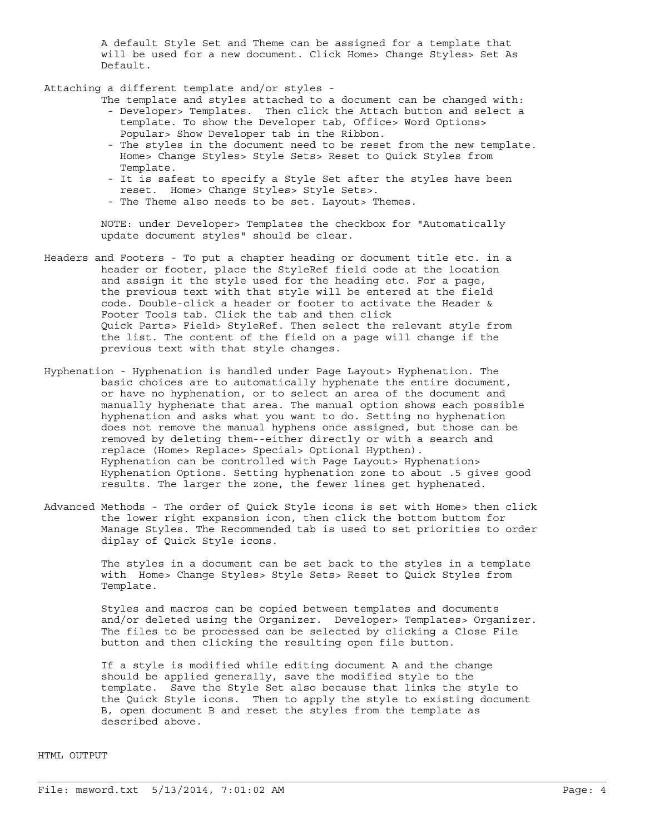A default Style Set and Theme can be assigned for a template that will be used for a new document. Click Home> Change Styles> Set As Default.

Attaching a different template and/or styles -

- The template and styles attached to a document can be changed with: - Developer> Templates. Then click the Attach button and select a template. To show the Developer tab, Office> Word Options> Popular> Show Developer tab in the Ribbon.
- The styles in the document need to be reset from the new template. Home> Change Styles> Style Sets> Reset to Quick Styles from Template.
- It is safest to specify a Style Set after the styles have been reset. Home> Change Styles> Style Sets>.
- The Theme also needs to be set. Layout> Themes.

 NOTE: under Developer> Templates the checkbox for "Automatically update document styles" should be clear.

- Headers and Footers To put a chapter heading or document title etc. in a header or footer, place the StyleRef field code at the location and assign it the style used for the heading etc. For a page, the previous text with that style will be entered at the field code. Double-click a header or footer to activate the Header & Footer Tools tab. Click the tab and then click Quick Parts> Field> StyleRef. Then select the relevant style from the list. The content of the field on a page will change if the previous text with that style changes.
- Hyphenation Hyphenation is handled under Page Layout> Hyphenation. The basic choices are to automatically hyphenate the entire document, or have no hyphenation, or to select an area of the document and manually hyphenate that area. The manual option shows each possible hyphenation and asks what you want to do. Setting no hyphenation does not remove the manual hyphens once assigned, but those can be removed by deleting them--either directly or with a search and replace (Home> Replace> Special> Optional Hypthen). Hyphenation can be controlled with Page Layout> Hyphenation> Hyphenation Options. Setting hyphenation zone to about .5 gives good results. The larger the zone, the fewer lines get hyphenated.
- Advanced Methods The order of Quick Style icons is set with Home> then click the lower right expansion icon, then click the bottom buttom for Manage Styles. The Recommended tab is used to set priorities to order diplay of Quick Style icons.

 The styles in a document can be set back to the styles in a template with Home> Change Styles> Style Sets> Reset to Quick Styles from Template.

 Styles and macros can be copied between templates and documents and/or deleted using the Organizer. Developer> Templates> Organizer. The files to be processed can be selected by clicking a Close File button and then clicking the resulting open file button.

 If a style is modified while editing document A and the change should be applied generally, save the modified style to the template. Save the Style Set also because that links the style to the Quick Style icons. Then to apply the style to existing document B, open document B and reset the styles from the template as described above.

HTML OUTPUT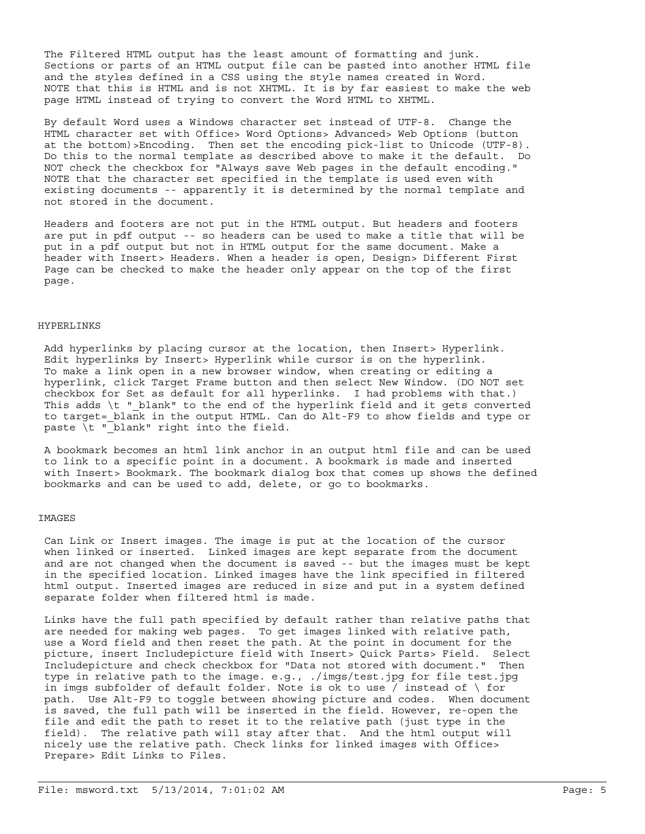The Filtered HTML output has the least amount of formatting and junk. Sections or parts of an HTML output file can be pasted into another HTML file and the styles defined in a CSS using the style names created in Word. NOTE that this is HTML and is not XHTML. It is by far easiest to make the web page HTML instead of trying to convert the Word HTML to XHTML.

 By default Word uses a Windows character set instead of UTF-8. Change the HTML character set with Office> Word Options> Advanced> Web Options (button at the bottom)>Encoding. Then set the encoding pick-list to Unicode (UTF-8). Do this to the normal template as described above to make it the default. Do NOT check the checkbox for "Always save Web pages in the default encoding." NOTE that the character set specified in the template is used even with existing documents -- apparently it is determined by the normal template and not stored in the document.

 Headers and footers are not put in the HTML output. But headers and footers are put in pdf output -- so headers can be used to make a title that will be put in a pdf output but not in HTML output for the same document. Make a header with Insert> Headers. When a header is open, Design> Different First Page can be checked to make the header only appear on the top of the first page.

#### HYPERLINKS

 Add hyperlinks by placing cursor at the location, then Insert> Hyperlink. Edit hyperlinks by Insert> Hyperlink while cursor is on the hyperlink. To make a link open in a new browser window, when creating or editing a hyperlink, click Target Frame button and then select New Window. (DO NOT set checkbox for Set as default for all hyperlinks. I had problems with that.) This adds  $\t t$  " blank" to the end of the hyperlink field and it gets converted to target= blank in the output HTML. Can do Alt-F9 to show fields and type or paste \t "\_blank" right into the field.

 A bookmark becomes an html link anchor in an output html file and can be used to link to a specific point in a document. A bookmark is made and inserted with Insert> Bookmark. The bookmark dialog box that comes up shows the defined bookmarks and can be used to add, delete, or go to bookmarks.

#### IMAGES

 Can Link or Insert images. The image is put at the location of the cursor when linked or inserted. Linked images are kept separate from the document and are not changed when the document is saved -- but the images must be kept in the specified location. Linked images have the link specified in filtered html output. Inserted images are reduced in size and put in a system defined separate folder when filtered html is made.

 Links have the full path specified by default rather than relative paths that are needed for making web pages. To get images linked with relative path, use a Word field and then reset the path. At the point in document for the picture, insert Includepicture field with Insert> Quick Parts> Field. Select Includepicture and check checkbox for "Data not stored with document." Then type in relative path to the image. e.g., ./imgs/test.jpg for file test.jpg in imgs subfolder of default folder. Note is ok to use / instead of \ for path. Use Alt-F9 to toggle between showing picture and codes. When document is saved, the full path will be inserted in the field. However, re-open the file and edit the path to reset it to the relative path (just type in the field). The relative path will stay after that. And the html output will nicely use the relative path. Check links for linked images with Office> Prepare> Edit Links to Files.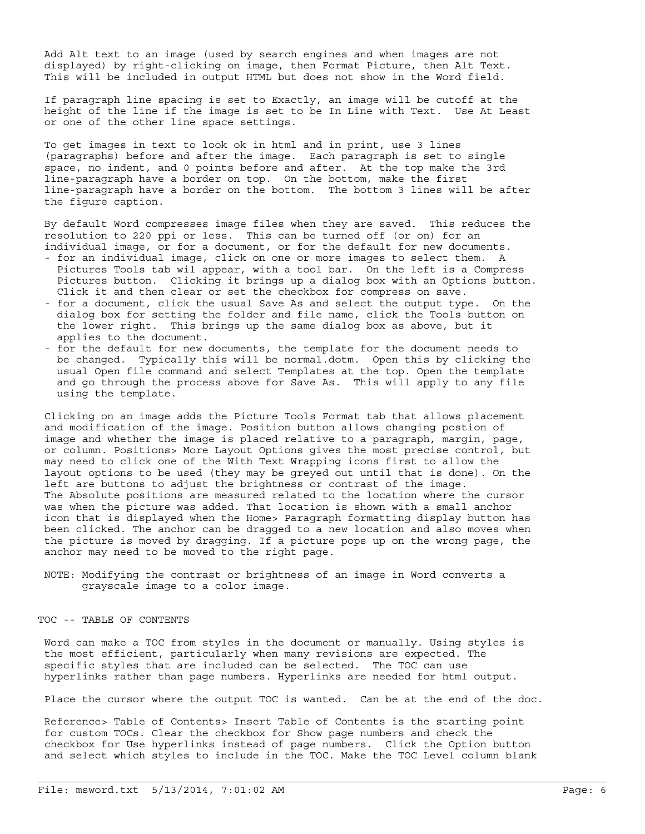Add Alt text to an image (used by search engines and when images are not displayed) by right-clicking on image, then Format Picture, then Alt Text. This will be included in output HTML but does not show in the Word field.

 If paragraph line spacing is set to Exactly, an image will be cutoff at the height of the line if the image is set to be In Line with Text. Use At Least or one of the other line space settings.

 To get images in text to look ok in html and in print, use 3 lines (paragraphs) before and after the image. Each paragraph is set to single space, no indent, and 0 points before and after. At the top make the 3rd line-paragraph have a border on top. On the bottom, make the first line-paragraph have a border on the bottom. The bottom 3 lines will be after the figure caption.

 By default Word compresses image files when they are saved. This reduces the resolution to 220 ppi or less. This can be turned off (or on) for an individual image, or for a document, or for the default for new documents. - for an individual image, click on one or more images to select them. A

- Pictures Tools tab wil appear, with a tool bar. On the left is a Compress Pictures button. Clicking it brings up a dialog box with an Options button. Click it and then clear or set the checkbox for compress on save.
- for a document, click the usual Save As and select the output type. On the dialog box for setting the folder and file name, click the Tools button on the lower right. This brings up the same dialog box as above, but it applies to the document.
- for the default for new documents, the template for the document needs to be changed. Typically this will be normal.dotm. Open this by clicking the usual Open file command and select Templates at the top. Open the template and go through the process above for Save As. This will apply to any file using the template.

 Clicking on an image adds the Picture Tools Format tab that allows placement and modification of the image. Position button allows changing postion of image and whether the image is placed relative to a paragraph, margin, page, or column. Positions> More Layout Options gives the most precise control, but may need to click one of the With Text Wrapping icons first to allow the layout options to be used (they may be greyed out until that is done). On the left are buttons to adjust the brightness or contrast of the image. The Absolute positions are measured related to the location where the cursor was when the picture was added. That location is shown with a small anchor icon that is displayed when the Home> Paragraph formatting display button has been clicked. The anchor can be dragged to a new location and also moves when the picture is moved by dragging. If a picture pops up on the wrong page, the anchor may need to be moved to the right page.

 NOTE: Modifying the contrast or brightness of an image in Word converts a grayscale image to a color image.

#### TOC -- TABLE OF CONTENTS

 Word can make a TOC from styles in the document or manually. Using styles is the most efficient, particularly when many revisions are expected. The specific styles that are included can be selected. The TOC can use hyperlinks rather than page numbers. Hyperlinks are needed for html output.

Place the cursor where the output TOC is wanted. Can be at the end of the doc.

 Reference> Table of Contents> Insert Table of Contents is the starting point for custom TOCs. Clear the checkbox for Show page numbers and check the checkbox for Use hyperlinks instead of page numbers. Click the Option button and select which styles to include in the TOC. Make the TOC Level column blank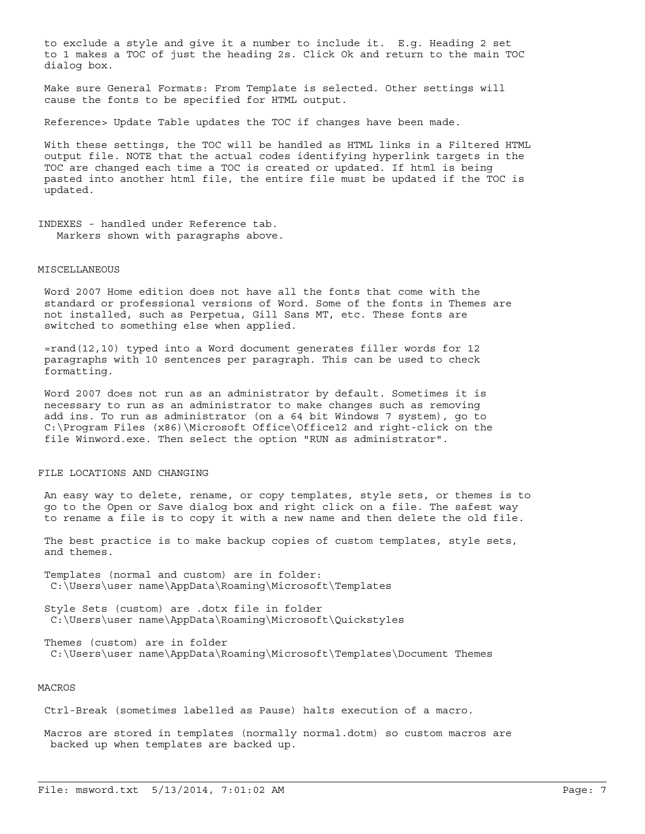to exclude a style and give it a number to include it. E.g. Heading 2 set to 1 makes a TOC of just the heading 2s. Click Ok and return to the main TOC dialog box.

 Make sure General Formats: From Template is selected. Other settings will cause the fonts to be specified for HTML output.

Reference> Update Table updates the TOC if changes have been made.

 With these settings, the TOC will be handled as HTML links in a Filtered HTML output file. NOTE that the actual codes identifying hyperlink targets in the TOC are changed each time a TOC is created or updated. If html is being pasted into another html file, the entire file must be updated if the TOC is updated.

INDEXES - handled under Reference tab. Markers shown with paragraphs above.

#### MISCELLANEOUS

 Word 2007 Home edition does not have all the fonts that come with the standard or professional versions of Word. Some of the fonts in Themes are not installed, such as Perpetua, Gill Sans MT, etc. These fonts are switched to something else when applied.

 =rand(12,10) typed into a Word document generates filler words for 12 paragraphs with 10 sentences per paragraph. This can be used to check formatting.

 Word 2007 does not run as an administrator by default. Sometimes it is necessary to run as an administrator to make changes such as removing add ins. To run as administrator (on a 64 bit Windows 7 system), go to C:\Program Files (x86)\Microsoft Office\Office12 and right-click on the file Winword.exe. Then select the option "RUN as administrator".

### FILE LOCATIONS AND CHANGING

 An easy way to delete, rename, or copy templates, style sets, or themes is to go to the Open or Save dialog box and right click on a file. The safest way to rename a file is to copy it with a new name and then delete the old file.

 The best practice is to make backup copies of custom templates, style sets, and themes.

 Templates (normal and custom) are in folder: C:\Users\user name\AppData\Roaming\Microsoft\Templates

 Style Sets (custom) are .dotx file in folder C:\Users\user name\AppData\Roaming\Microsoft\Quickstyles

 Themes (custom) are in folder C:\Users\user name\AppData\Roaming\Microsoft\Templates\Document Themes

## MACROS

Ctrl-Break (sometimes labelled as Pause) halts execution of a macro.

 Macros are stored in templates (normally normal.dotm) so custom macros are backed up when templates are backed up.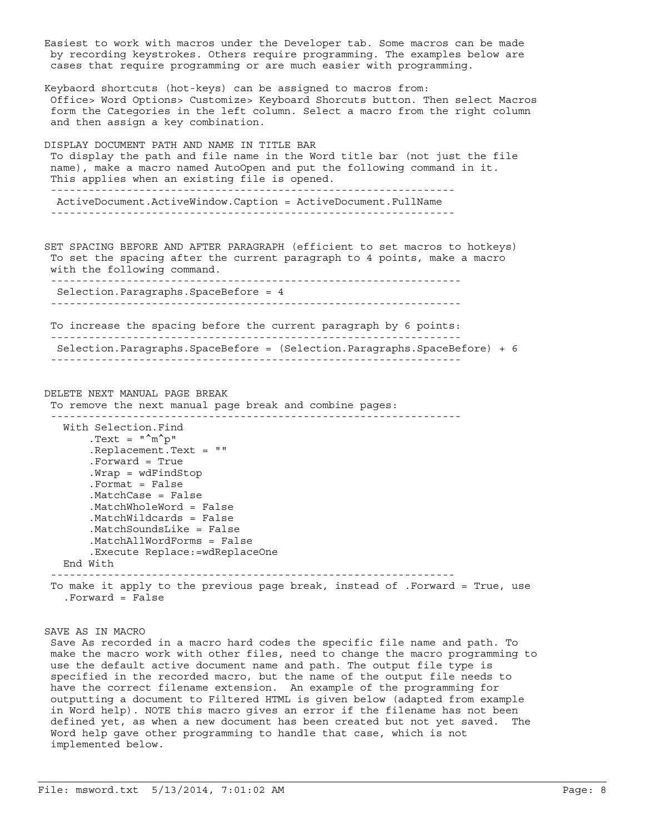```
 Easiest to work with macros under the Developer tab. Some macros can be made
 by recording keystrokes. Others require programming. The examples below are
 cases that require programming or are much easier with programming.
Keybaord shortcuts (hot-keys) can be assigned to macros from:
 Office> Word Options> Customize> Keyboard Shorcuts button. Then select Macros
 form the Categories in the left column. Select a macro from the right column
 and then assign a key combination.
DISPLAY DOCUMENT PATH AND NAME IN TITLE BAR
 To display the path and file name in the Word title bar (not just the file
 name), make a macro named AutoOpen and put the following command in it.
 This applies when an existing file is opened.
 ----------------------------------------------------------------
 ActiveDocument.ActiveWindow.Caption = ActiveDocument.FullName
 ----------------------------------------------------------------
SET SPACING BEFORE AND AFTER PARAGRAPH (efficient to set macros to hotkeys)
 To set the spacing after the current paragraph to 4 points, make a macro 
 with the following command.
 -----------------------------------------------------------------
 Selection.Paragraphs.SpaceBefore = 4
 -----------------------------------------------------------------
 To increase the spacing before the current paragraph by 6 points:
 ----------------------------------------------------------------- 
 Selection.Paragraphs.SpaceBefore = (Selection.Paragraphs.SpaceBefore) + 6
 -----------------------------------------------------------------
DELETE NEXT MANUAL PAGE BREAK 
 To remove the next manual page break and combine pages:
 ----------------------------------------------------------------- 
   With Selection.Find
      .Text = "\hat{m}^{\circ}p" .Replacement.Text = ""
       .Forward = True
       .Wrap = wdFindStop
      . Format = False
       .MatchCase = False
       .MatchWholeWord = False
       .MatchWildcards = False
       .MatchSoundsLike = False
       .MatchAllWordForms = False
       .Execute Replace:=wdReplaceOne
   End With
 ----------------------------------------------------------------
 To make it apply to the previous page break, instead of .Forward = True, use
   .Forward = False
SAVE AS IN MACRO
```
 Save As recorded in a macro hard codes the specific file name and path. To make the macro work with other files, need to change the macro programming to use the default active document name and path. The output file type is specified in the recorded macro, but the name of the output file needs to have the correct filename extension. An example of the programming for outputting a document to Filtered HTML is given below (adapted from example in Word help). NOTE this macro gives an error if the filename has not been defined yet, as when a new document has been created but not yet saved. The Word help gave other programming to handle that case, which is not implemented below.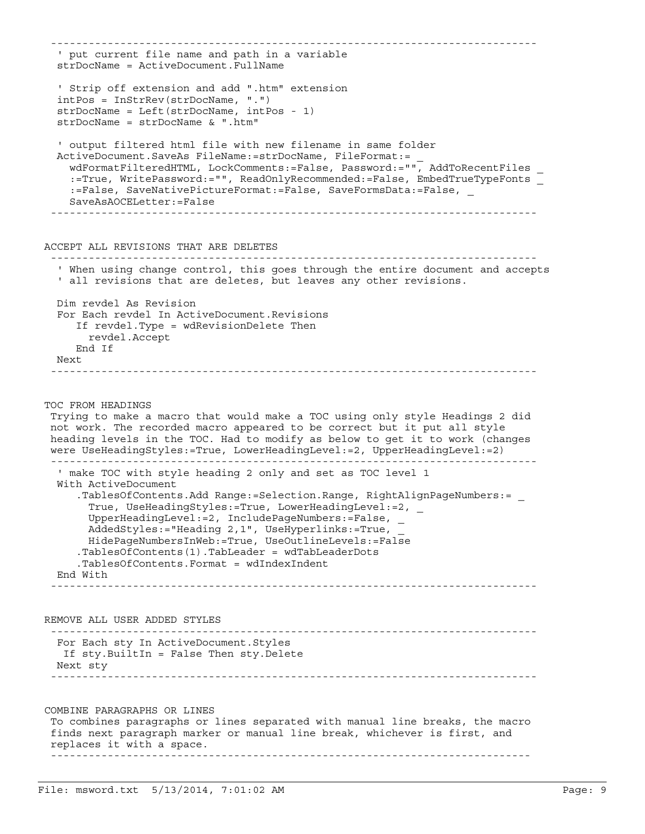```
 -----------------------------------------------------------------------------
  ' put current file name and path in a variable
  strDocName = ActiveDocument.FullName
  ' Strip off extension and add ".htm" extension
  intPos = InStrRev(strDocName, ".")
  strDocName = Left(strDocName, intPos - 1)
  strDocName = strDocName & ".htm"
  ' output filtered html file with new filename in same folder
  ActiveDocument.SaveAs FileName:=strDocName, FileFormat:= _
    wdFormatFilteredHTML, LockComments:=False, Password:="", AddToRecentFiles _
   :=True, WritePassword:="", ReadOnlyRecommended:=False, EmbedTrueTypeFonts
    :=False, SaveNativePictureFormat:=False, SaveFormsData:=False, _
    SaveAsAOCELetter:=False
                            -----------------------------------------------------------------------------
ACCEPT ALL REVISIONS THAT ARE DELETES
 -----------------------------------------------------------------------------
  ' When using change control, this goes through the entire document and accepts 
  ' all revisions that are deletes, but leaves any other revisions.
  Dim revdel As Revision
  For Each revdel In ActiveDocument.Revisions
     If revdel.Type = wdRevisionDelete Then
       revdel.Accept
     End If
 Next
 -----------------------------------------------------------------------------
TOC FROM HEADINGS
 Trying to make a macro that would make a TOC using only style Headings 2 did
 not work. The recorded macro appeared to be correct but it put all style
 heading levels in the TOC. Had to modify as below to get it to work (changes
 were UseHeadingStyles:=True, LowerHeadingLevel:=2, UpperHeadingLevel:=2) 
 -----------------------------------------------------------------------------
  ' make TOC with style heading 2 only and set as TOC level 1
  With ActiveDocument
     .TablesOfContents.Add Range:=Selection.Range, RightAlignPageNumbers:= _
       True, UseHeadingStyles:=True, LowerHeadingLevel:=2, _
       UpperHeadingLevel:=2, IncludePageNumbers:=False, _
       AddedStyles:="Heading 2,1", UseHyperlinks:=True, _
       HidePageNumbersInWeb:=True, UseOutlineLevels:=False
     .TablesOfContents(1).TabLeader = wdTabLeaderDots
     .TablesOfContents.Format = wdIndexIndent
  End With
 -----------------------------------------------------------------------------
REMOVE ALL USER ADDED STYLES
 ----------------------------------------------------------------------------- 
  For Each sty In ActiveDocument.Styles
  If sty.BuiltIn = False Then sty.Delete
 Next sty
 -----------------------------------------------------------------------------
COMBINE PARAGRAPHS OR LINES
 To combines paragraphs or lines separated with manual line breaks, the macro 
 finds next paragraph marker or manual line break, whichever is first, and 
 replaces it with a space.
 ----------------------------------------------------------------------------
```